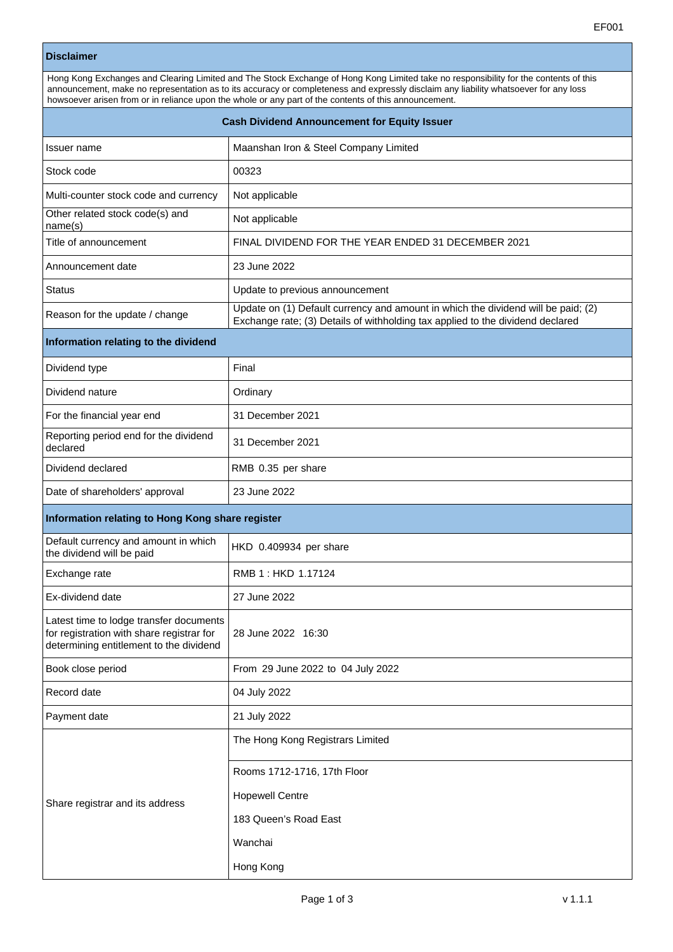## **Disclaimer**

| Hong Kong Exchanges and Clearing Limited and The Stock Exchange of Hong Kong Limited take no responsibility for the contents of this<br>announcement, make no representation as to its accuracy or completeness and expressly disclaim any liability whatsoever for any loss<br>howsoever arisen from or in reliance upon the whole or any part of the contents of this announcement. |                                                                                                                                                                     |  |  |  |
|---------------------------------------------------------------------------------------------------------------------------------------------------------------------------------------------------------------------------------------------------------------------------------------------------------------------------------------------------------------------------------------|---------------------------------------------------------------------------------------------------------------------------------------------------------------------|--|--|--|
| <b>Cash Dividend Announcement for Equity Issuer</b>                                                                                                                                                                                                                                                                                                                                   |                                                                                                                                                                     |  |  |  |
| Issuer name                                                                                                                                                                                                                                                                                                                                                                           | Maanshan Iron & Steel Company Limited                                                                                                                               |  |  |  |
| Stock code                                                                                                                                                                                                                                                                                                                                                                            | 00323                                                                                                                                                               |  |  |  |
| Multi-counter stock code and currency                                                                                                                                                                                                                                                                                                                                                 | Not applicable                                                                                                                                                      |  |  |  |
| Other related stock code(s) and<br>name(s)                                                                                                                                                                                                                                                                                                                                            | Not applicable                                                                                                                                                      |  |  |  |
| Title of announcement                                                                                                                                                                                                                                                                                                                                                                 | FINAL DIVIDEND FOR THE YEAR ENDED 31 DECEMBER 2021                                                                                                                  |  |  |  |
| Announcement date                                                                                                                                                                                                                                                                                                                                                                     | 23 June 2022                                                                                                                                                        |  |  |  |
| <b>Status</b>                                                                                                                                                                                                                                                                                                                                                                         | Update to previous announcement                                                                                                                                     |  |  |  |
| Reason for the update / change                                                                                                                                                                                                                                                                                                                                                        | Update on (1) Default currency and amount in which the dividend will be paid; (2)<br>Exchange rate; (3) Details of withholding tax applied to the dividend declared |  |  |  |
| Information relating to the dividend                                                                                                                                                                                                                                                                                                                                                  |                                                                                                                                                                     |  |  |  |
| Dividend type                                                                                                                                                                                                                                                                                                                                                                         | Final                                                                                                                                                               |  |  |  |
| Dividend nature                                                                                                                                                                                                                                                                                                                                                                       | Ordinary                                                                                                                                                            |  |  |  |
| For the financial year end                                                                                                                                                                                                                                                                                                                                                            | 31 December 2021                                                                                                                                                    |  |  |  |
| Reporting period end for the dividend<br>declared                                                                                                                                                                                                                                                                                                                                     | 31 December 2021                                                                                                                                                    |  |  |  |
| Dividend declared                                                                                                                                                                                                                                                                                                                                                                     | RMB 0.35 per share                                                                                                                                                  |  |  |  |
| Date of shareholders' approval                                                                                                                                                                                                                                                                                                                                                        | 23 June 2022                                                                                                                                                        |  |  |  |
| Information relating to Hong Kong share register                                                                                                                                                                                                                                                                                                                                      |                                                                                                                                                                     |  |  |  |
| Default currency and amount in which<br>the dividend will be paid                                                                                                                                                                                                                                                                                                                     | HKD 0.409934 per share                                                                                                                                              |  |  |  |
| Exchange rate                                                                                                                                                                                                                                                                                                                                                                         | RMB 1: HKD 1.17124                                                                                                                                                  |  |  |  |
| Ex-dividend date                                                                                                                                                                                                                                                                                                                                                                      | 27 June 2022                                                                                                                                                        |  |  |  |
| Latest time to lodge transfer documents<br>for registration with share registrar for<br>determining entitlement to the dividend                                                                                                                                                                                                                                                       | 28 June 2022 16:30                                                                                                                                                  |  |  |  |
| Book close period                                                                                                                                                                                                                                                                                                                                                                     | From 29 June 2022 to 04 July 2022                                                                                                                                   |  |  |  |
| Record date                                                                                                                                                                                                                                                                                                                                                                           | 04 July 2022                                                                                                                                                        |  |  |  |
| Payment date                                                                                                                                                                                                                                                                                                                                                                          | 21 July 2022                                                                                                                                                        |  |  |  |
| Share registrar and its address                                                                                                                                                                                                                                                                                                                                                       | The Hong Kong Registrars Limited<br>Rooms 1712-1716, 17th Floor                                                                                                     |  |  |  |
|                                                                                                                                                                                                                                                                                                                                                                                       | <b>Hopewell Centre</b>                                                                                                                                              |  |  |  |
|                                                                                                                                                                                                                                                                                                                                                                                       | 183 Queen's Road East                                                                                                                                               |  |  |  |
|                                                                                                                                                                                                                                                                                                                                                                                       | Wanchai                                                                                                                                                             |  |  |  |
|                                                                                                                                                                                                                                                                                                                                                                                       | Hong Kong                                                                                                                                                           |  |  |  |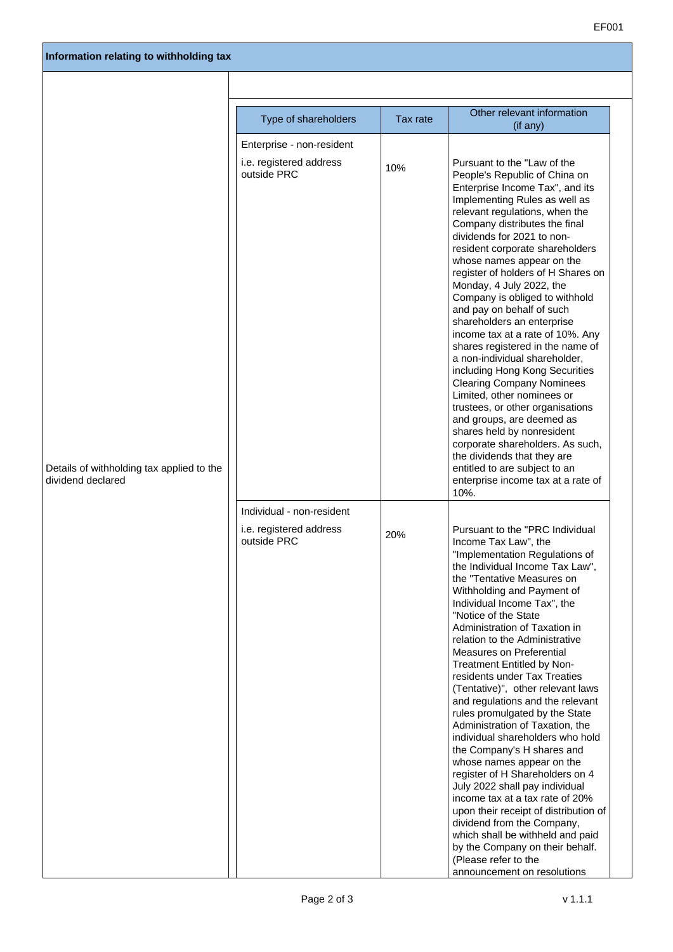|                                                                | Type of shareholders                                                | Tax rate | Other relevant information<br>(if any)                                                                                                                                                                                                                                                                                                                                                                                                                                                                                                                                                                                                                                                                                                                                                                                                                                                                                                                                        |  |
|----------------------------------------------------------------|---------------------------------------------------------------------|----------|-------------------------------------------------------------------------------------------------------------------------------------------------------------------------------------------------------------------------------------------------------------------------------------------------------------------------------------------------------------------------------------------------------------------------------------------------------------------------------------------------------------------------------------------------------------------------------------------------------------------------------------------------------------------------------------------------------------------------------------------------------------------------------------------------------------------------------------------------------------------------------------------------------------------------------------------------------------------------------|--|
| Details of withholding tax applied to the<br>dividend declared | Enterprise - non-resident<br>i.e. registered address<br>outside PRC | 10%      | Pursuant to the "Law of the<br>People's Republic of China on<br>Enterprise Income Tax", and its<br>Implementing Rules as well as<br>relevant regulations, when the<br>Company distributes the final<br>dividends for 2021 to non-<br>resident corporate shareholders<br>whose names appear on the<br>register of holders of H Shares on<br>Monday, 4 July 2022, the<br>Company is obliged to withhold<br>and pay on behalf of such<br>shareholders an enterprise<br>income tax at a rate of 10%. Any<br>shares registered in the name of<br>a non-individual shareholder,<br>including Hong Kong Securities<br><b>Clearing Company Nominees</b><br>Limited, other nominees or<br>trustees, or other organisations<br>and groups, are deemed as<br>shares held by nonresident<br>corporate shareholders. As such,<br>the dividends that they are<br>entitled to are subject to an<br>enterprise income tax at a rate of<br>10%.                                                |  |
|                                                                | Individual - non-resident<br>i.e. registered address<br>outside PRC | 20%      | Pursuant to the "PRC Individual<br>Income Tax Law", the<br>"Implementation Regulations of<br>the Individual Income Tax Law",<br>the "Tentative Measures on<br>Withholding and Payment of<br>Individual Income Tax", the<br>"Notice of the State<br>Administration of Taxation in<br>relation to the Administrative<br><b>Measures on Preferential</b><br>Treatment Entitled by Non-<br>residents under Tax Treaties<br>(Tentative)", other relevant laws<br>and regulations and the relevant<br>rules promulgated by the State<br>Administration of Taxation, the<br>individual shareholders who hold<br>the Company's H shares and<br>whose names appear on the<br>register of H Shareholders on 4<br>July 2022 shall pay individual<br>income tax at a tax rate of 20%<br>upon their receipt of distribution of<br>dividend from the Company,<br>which shall be withheld and paid<br>by the Company on their behalf.<br>(Please refer to the<br>announcement on resolutions |  |